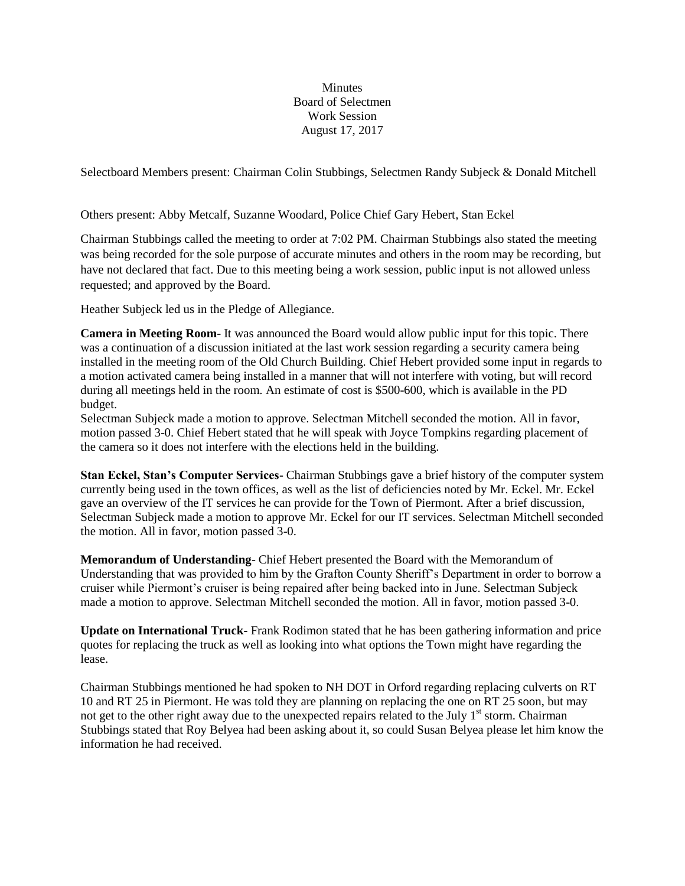**Minutes** Board of Selectmen Work Session August 17, 2017

Selectboard Members present: Chairman Colin Stubbings, Selectmen Randy Subjeck & Donald Mitchell

Others present: Abby Metcalf, Suzanne Woodard, Police Chief Gary Hebert, Stan Eckel

Chairman Stubbings called the meeting to order at 7:02 PM. Chairman Stubbings also stated the meeting was being recorded for the sole purpose of accurate minutes and others in the room may be recording, but have not declared that fact. Due to this meeting being a work session, public input is not allowed unless requested; and approved by the Board.

Heather Subjeck led us in the Pledge of Allegiance.

**Camera in Meeting Room**- It was announced the Board would allow public input for this topic. There was a continuation of a discussion initiated at the last work session regarding a security camera being installed in the meeting room of the Old Church Building. Chief Hebert provided some input in regards to a motion activated camera being installed in a manner that will not interfere with voting, but will record during all meetings held in the room. An estimate of cost is \$500-600, which is available in the PD budget.

Selectman Subjeck made a motion to approve. Selectman Mitchell seconded the motion. All in favor, motion passed 3-0. Chief Hebert stated that he will speak with Joyce Tompkins regarding placement of the camera so it does not interfere with the elections held in the building.

**Stan Eckel, Stan's Computer Services**- Chairman Stubbings gave a brief history of the computer system currently being used in the town offices, as well as the list of deficiencies noted by Mr. Eckel. Mr. Eckel gave an overview of the IT services he can provide for the Town of Piermont. After a brief discussion, Selectman Subjeck made a motion to approve Mr. Eckel for our IT services. Selectman Mitchell seconded the motion. All in favor, motion passed 3-0.

**Memorandum of Understanding**- Chief Hebert presented the Board with the Memorandum of Understanding that was provided to him by the Grafton County Sheriff's Department in order to borrow a cruiser while Piermont's cruiser is being repaired after being backed into in June. Selectman Subjeck made a motion to approve. Selectman Mitchell seconded the motion. All in favor, motion passed 3-0.

**Update on International Truck-** Frank Rodimon stated that he has been gathering information and price quotes for replacing the truck as well as looking into what options the Town might have regarding the lease.

Chairman Stubbings mentioned he had spoken to NH DOT in Orford regarding replacing culverts on RT 10 and RT 25 in Piermont. He was told they are planning on replacing the one on RT 25 soon, but may not get to the other right away due to the unexpected repairs related to the July  $1<sup>st</sup>$  storm. Chairman Stubbings stated that Roy Belyea had been asking about it, so could Susan Belyea please let him know the information he had received.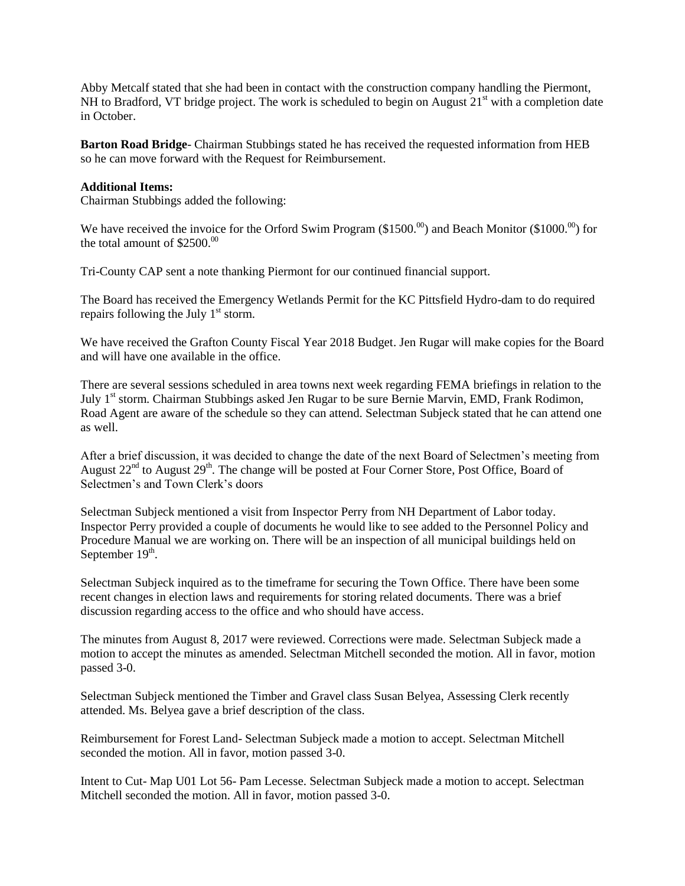Abby Metcalf stated that she had been in contact with the construction company handling the Piermont, NH to Bradford, VT bridge project. The work is scheduled to begin on August  $21<sup>st</sup>$  with a completion date in October.

**Barton Road Bridge**- Chairman Stubbings stated he has received the requested information from HEB so he can move forward with the Request for Reimbursement.

## **Additional Items:**

Chairman Stubbings added the following:

We have received the invoice for the Orford Swim Program (\$1500. $^{00}$ ) and Beach Monitor (\$1000. $^{00}$ ) for the total amount of  $$2500<sup>00</sup>$ 

Tri-County CAP sent a note thanking Piermont for our continued financial support.

The Board has received the Emergency Wetlands Permit for the KC Pittsfield Hydro-dam to do required repairs following the July  $1<sup>st</sup>$  storm.

We have received the Grafton County Fiscal Year 2018 Budget. Jen Rugar will make copies for the Board and will have one available in the office.

There are several sessions scheduled in area towns next week regarding FEMA briefings in relation to the July 1<sup>st</sup> storm. Chairman Stubbings asked Jen Rugar to be sure Bernie Marvin, EMD, Frank Rodimon, Road Agent are aware of the schedule so they can attend. Selectman Subjeck stated that he can attend one as well.

After a brief discussion, it was decided to change the date of the next Board of Selectmen's meeting from August 22<sup>nd</sup> to August 29<sup>th</sup>. The change will be posted at Four Corner Store, Post Office, Board of Selectmen's and Town Clerk's doors

Selectman Subjeck mentioned a visit from Inspector Perry from NH Department of Labor today. Inspector Perry provided a couple of documents he would like to see added to the Personnel Policy and Procedure Manual we are working on. There will be an inspection of all municipal buildings held on September 19<sup>th</sup>.

Selectman Subjeck inquired as to the timeframe for securing the Town Office. There have been some recent changes in election laws and requirements for storing related documents. There was a brief discussion regarding access to the office and who should have access.

The minutes from August 8, 2017 were reviewed. Corrections were made. Selectman Subjeck made a motion to accept the minutes as amended. Selectman Mitchell seconded the motion. All in favor, motion passed 3-0.

Selectman Subjeck mentioned the Timber and Gravel class Susan Belyea, Assessing Clerk recently attended. Ms. Belyea gave a brief description of the class.

Reimbursement for Forest Land- Selectman Subjeck made a motion to accept. Selectman Mitchell seconded the motion. All in favor, motion passed 3-0.

Intent to Cut- Map U01 Lot 56- Pam Lecesse. Selectman Subjeck made a motion to accept. Selectman Mitchell seconded the motion. All in favor, motion passed 3-0.